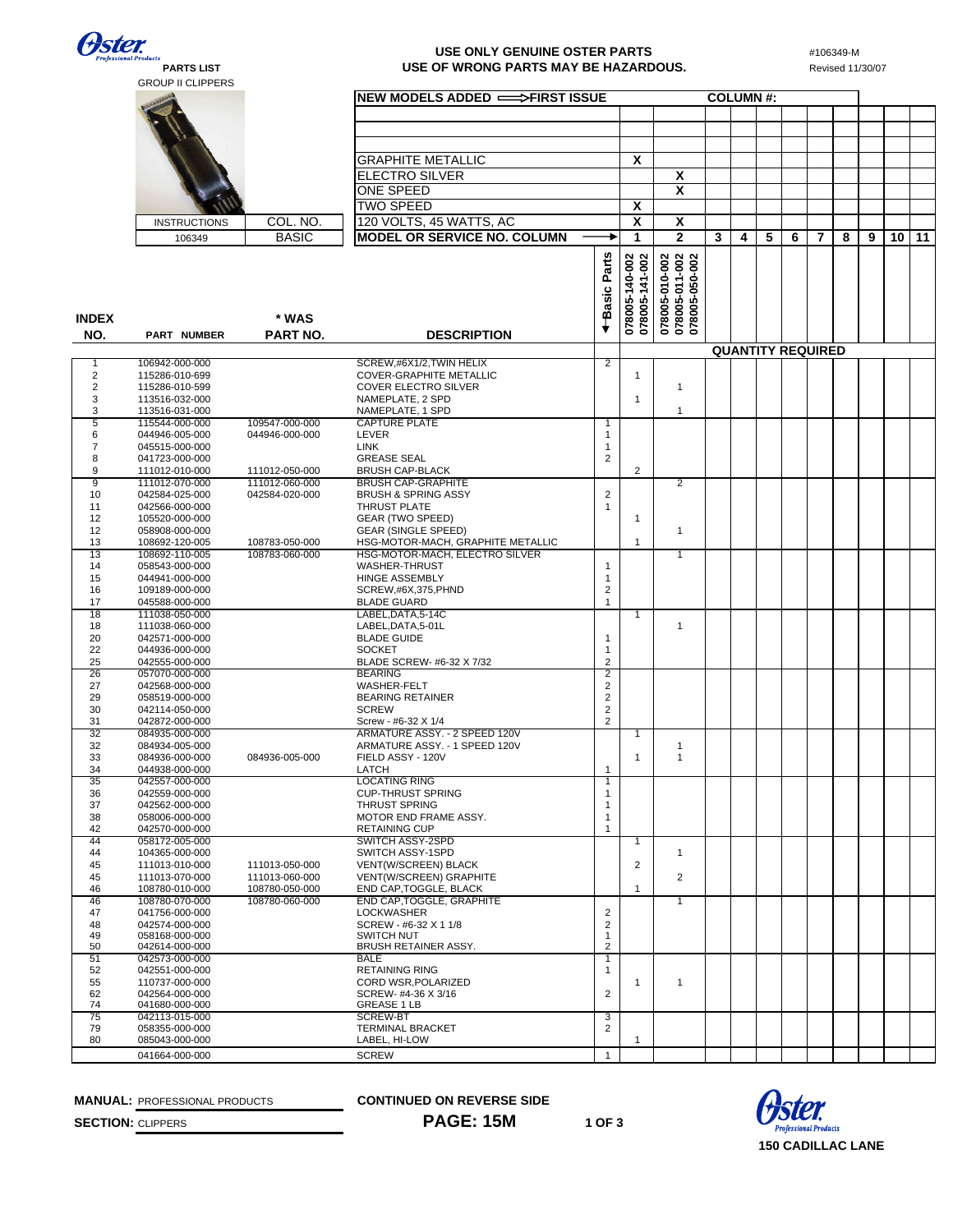**Oster.** 

## <sub>Products</sub><br>PARTS LIST<br>GROUP II CLIPPERS

## **PARTS LIST** Revised 11/30/07 **USE OF WRONG PARTS MAY BE HAZARDOUS.** Revised 11/30/07 **USE ONLY GENUINE OSTER PARTS**

#106349-M

|                     |                                  |                                  | NEW MODELS ADDED =>FIRST ISSUE                              |                                       |                                  |                                                    |   |   | <b>COLUMN#:</b> |   |                          |   |   |    |    |
|---------------------|----------------------------------|----------------------------------|-------------------------------------------------------------|---------------------------------------|----------------------------------|----------------------------------------------------|---|---|-----------------|---|--------------------------|---|---|----|----|
|                     |                                  |                                  |                                                             |                                       |                                  |                                                    |   |   |                 |   |                          |   |   |    |    |
|                     |                                  |                                  |                                                             |                                       |                                  |                                                    |   |   |                 |   |                          |   |   |    |    |
|                     |                                  |                                  |                                                             |                                       |                                  |                                                    |   |   |                 |   |                          |   |   |    |    |
|                     |                                  |                                  | <b>GRAPHITE METALLIC</b>                                    |                                       | X                                |                                                    |   |   |                 |   |                          |   |   |    |    |
|                     |                                  |                                  | <b>ELECTRO SILVER</b>                                       |                                       |                                  | X                                                  |   |   |                 |   |                          |   |   |    |    |
|                     |                                  |                                  | <b>ONE SPEED</b>                                            |                                       |                                  | X                                                  |   |   |                 |   |                          |   |   |    |    |
|                     |                                  |                                  | <b>TWO SPEED</b>                                            |                                       | X                                |                                                    |   |   |                 |   |                          |   |   |    |    |
|                     | <b>INSTRUCTIONS</b>              | COL. NO.                         | 120 VOLTS, 45 WATTS, AC                                     |                                       | X                                | X                                                  |   |   |                 |   |                          |   |   |    |    |
|                     | 106349                           | <b>BASIC</b>                     | <b>MODEL OR SERVICE NO. COLUMN</b>                          |                                       | 1                                | $\mathbf{2}$                                       | 3 | 4 | 5               | 6 | 7                        | 8 | 9 | 10 | 11 |
|                     |                                  |                                  |                                                             |                                       |                                  | 078005-010-002<br>078005-011-002<br>078005-050-002 |   |   |                 |   |                          |   |   |    |    |
|                     |                                  |                                  |                                                             | +Basic Parts                          | 078005-140-002<br>078005-141-002 |                                                    |   |   |                 |   |                          |   |   |    |    |
|                     |                                  |                                  |                                                             |                                       |                                  |                                                    |   |   |                 |   |                          |   |   |    |    |
|                     |                                  |                                  |                                                             |                                       |                                  |                                                    |   |   |                 |   |                          |   |   |    |    |
| <b>INDEX</b>        |                                  | * WAS                            |                                                             |                                       |                                  |                                                    |   |   |                 |   |                          |   |   |    |    |
| NO.                 | PART NUMBER                      | <b>PART NO.</b>                  | <b>DESCRIPTION</b>                                          |                                       |                                  |                                                    |   |   |                 |   |                          |   |   |    |    |
|                     |                                  |                                  |                                                             |                                       |                                  |                                                    |   |   |                 |   | <b>QUANTITY REQUIRED</b> |   |   |    |    |
| 1<br>2              | 106942-000-000<br>115286-010-699 |                                  | SCREW, #6X1/2, TWIN HELIX<br><b>COVER-GRAPHITE METALLIC</b> | $\overline{2}$                        | 1                                |                                                    |   |   |                 |   |                          |   |   |    |    |
| 2                   | 115286-010-599                   |                                  | <b>COVER ELECTRO SILVER</b>                                 |                                       |                                  | $\mathbf{1}$                                       |   |   |                 |   |                          |   |   |    |    |
| 3                   | 113516-032-000                   |                                  | NAMEPLATE, 2 SPD                                            |                                       | 1                                |                                                    |   |   |                 |   |                          |   |   |    |    |
| 3<br>5              | 113516-031-000<br>115544-000-000 | 109547-000-000                   | NAMEPLATE, 1 SPD<br><b>CAPTURE PLATE</b>                    | 1                                     |                                  | $\mathbf{1}$                                       |   |   |                 |   |                          |   |   |    |    |
| 6                   | 044946-005-000                   | 044946-000-000                   | LEVER                                                       | 1                                     |                                  |                                                    |   |   |                 |   |                          |   |   |    |    |
| 7                   | 045515-000-000                   |                                  | LINK                                                        | 1                                     |                                  |                                                    |   |   |                 |   |                          |   |   |    |    |
| 8                   | 041723-000-000                   |                                  | <b>GREASE SEAL</b>                                          | $\overline{\mathbf{c}}$               | 2                                |                                                    |   |   |                 |   |                          |   |   |    |    |
| 9<br>$\overline{9}$ | 111012-010-000<br>111012-070-000 | 111012-050-000<br>111012-060-000 | <b>BRUSH CAP-BLACK</b><br><b>BRUSH CAP-GRAPHITE</b>         |                                       |                                  | $\overline{2}$                                     |   |   |                 |   |                          |   |   |    |    |
| 10                  | 042584-025-000                   | 042584-020-000                   | <b>BRUSH &amp; SPRING ASSY</b>                              | $\overline{c}$                        |                                  |                                                    |   |   |                 |   |                          |   |   |    |    |
| 11                  | 042566-000-000                   |                                  | THRUST PLATE                                                | 1                                     |                                  |                                                    |   |   |                 |   |                          |   |   |    |    |
| 12<br>12            | 105520-000-000<br>058908-000-000 |                                  | GEAR (TWO SPEED)<br><b>GEAR (SINGLE SPEED)</b>              |                                       | $\mathbf{1}$                     | $\mathbf{1}$                                       |   |   |                 |   |                          |   |   |    |    |
| 13                  | 108692-120-005                   | 108783-050-000                   | HSG-MOTOR-MACH, GRAPHITE METALLIC                           |                                       | 1                                |                                                    |   |   |                 |   |                          |   |   |    |    |
| 13                  | 108692-110-005                   | 108783-060-000                   | HSG-MOTOR-MACH, ELECTRO SILVER                              |                                       |                                  | 1                                                  |   |   |                 |   |                          |   |   |    |    |
| 14<br>15            | 058543-000-000<br>044941-000-000 |                                  | WASHER-THRUST<br><b>HINGE ASSEMBLY</b>                      | $\mathbf{1}$<br>1                     |                                  |                                                    |   |   |                 |   |                          |   |   |    |    |
| 16                  | 109189-000-000                   |                                  | SCREW,#6X,375,PHND                                          | $\overline{\mathbf{c}}$               |                                  |                                                    |   |   |                 |   |                          |   |   |    |    |
| 17                  | 045588-000-000                   |                                  | <b>BLADE GUARD</b>                                          | $\mathbf{1}$                          |                                  |                                                    |   |   |                 |   |                          |   |   |    |    |
| 18<br>18            | 111038-050-000<br>111038-060-000 |                                  | LABEL, DATA, 5-14C<br>LABEL, DATA, 5-01L                    |                                       | 1                                | 1                                                  |   |   |                 |   |                          |   |   |    |    |
| 20                  | 042571-000-000                   |                                  | <b>BLADE GUIDE</b>                                          | 1                                     |                                  |                                                    |   |   |                 |   |                          |   |   |    |    |
| 22                  | 044936-000-000                   |                                  | <b>SOCKET</b>                                               | 1                                     |                                  |                                                    |   |   |                 |   |                          |   |   |    |    |
| 25                  | 042555-000-000                   |                                  | BLADE SCREW- #6-32 X 7/32                                   | $\overline{2}$                        |                                  |                                                    |   |   |                 |   |                          |   |   |    |    |
| 26<br>27            | 057070-000-000<br>042568-000-000 |                                  | <b>BEARING</b><br><b>WASHER-FELT</b>                        | 2<br>2                                |                                  |                                                    |   |   |                 |   |                          |   |   |    |    |
| 29                  | 058519-000-000                   |                                  | <b>BEARING RETAINER</b>                                     | $\sqrt{2}$                            |                                  |                                                    |   |   |                 |   |                          |   |   |    |    |
| 30                  | 042114-050-000                   |                                  | <b>SCREW</b>                                                | $\mathbf 2$                           |                                  |                                                    |   |   |                 |   |                          |   |   |    |    |
| 31<br>32            | 042872-000-000<br>084935-000-000 |                                  | Screw - #6-32 X 1/4<br>ARMATURE ASSY. - 2 SPEED 120V        | $\overline{2}$                        | 1                                |                                                    |   |   |                 |   |                          |   |   |    |    |
| 32                  | 084934-005-000                   |                                  | ARMATURE ASSY. - 1 SPEED 120V                               |                                       |                                  | 1                                                  |   |   |                 |   |                          |   |   |    |    |
| 33                  | 084936-000-000                   | 084936-005-000                   | FIELD ASSY - 120V                                           |                                       | 1                                | $\mathbf{1}$                                       |   |   |                 |   |                          |   |   |    |    |
| 34<br>35            | 044938-000-000<br>042557-000-000 |                                  | LATCH<br><b>LOCATING RING</b>                               | 1<br>$\mathbf{1}$                     |                                  |                                                    |   |   |                 |   |                          |   |   |    |    |
| 36                  | 042559-000-000                   |                                  | <b>CUP-THRUST SPRING</b>                                    | 1                                     |                                  |                                                    |   |   |                 |   |                          |   |   |    |    |
| 37                  | 042562-000-000                   |                                  | THRUST SPRING                                               | 1                                     |                                  |                                                    |   |   |                 |   |                          |   |   |    |    |
| 38<br>42            | 058006-000-000<br>042570-000-000 |                                  | MOTOR END FRAME ASSY.<br><b>RETAINING CUP</b>               | 1<br>1                                |                                  |                                                    |   |   |                 |   |                          |   |   |    |    |
| 44                  | 058172-005-000                   |                                  | <b>SWITCH ASSY-2SPD</b>                                     |                                       | $\mathbf{1}$                     |                                                    |   |   |                 |   |                          |   |   |    |    |
| 44                  | 104365-000-000                   |                                  | SWITCH ASSY-1SPD                                            |                                       |                                  | $\mathbf{1}$                                       |   |   |                 |   |                          |   |   |    |    |
| 45<br>45            | 111013-010-000<br>111013-070-000 | 111013-050-000<br>111013-060-000 | VENT(W/SCREEN) BLACK<br>VENT(W/SCREEN) GRAPHITE             |                                       | $\overline{2}$                   | $\overline{2}$                                     |   |   |                 |   |                          |   |   |    |    |
| 46                  | 108780-010-000                   | 108780-050-000                   | END CAP, TOGGLE, BLACK                                      |                                       | 1                                |                                                    |   |   |                 |   |                          |   |   |    |    |
| 46                  | 108780-070-000                   | 108780-060-000                   | END CAP, TOGGLE, GRAPHITE                                   |                                       |                                  | 1                                                  |   |   |                 |   |                          |   |   |    |    |
| 47<br>48            | 041756-000-000<br>042574-000-000 |                                  | <b>LOCKWASHER</b><br>SCREW - #6-32 X 1 1/8                  | $\sqrt{2}$<br>$\overline{\mathbf{c}}$ |                                  |                                                    |   |   |                 |   |                          |   |   |    |    |
| 49                  | 058168-000-000                   |                                  | <b>SWITCH NUT</b>                                           | $\mathbf{1}$                          |                                  |                                                    |   |   |                 |   |                          |   |   |    |    |
| 50                  | 042614-000-000                   |                                  | BRUSH RETAINER ASSY.                                        | $\overline{2}$                        |                                  |                                                    |   |   |                 |   |                          |   |   |    |    |
| 51<br>52            | 042573-000-000<br>042551-000-000 |                                  | <b>BALE</b><br><b>RETAINING RING</b>                        | 1<br>1                                |                                  |                                                    |   |   |                 |   |                          |   |   |    |    |
| 55                  | 110737-000-000                   |                                  | CORD WSR, POLARIZED                                         |                                       | 1                                | 1                                                  |   |   |                 |   |                          |   |   |    |    |
| 62                  | 042564-000-000                   |                                  | SCREW- #4-36 X 3/16                                         | $\mathbf 2$                           |                                  |                                                    |   |   |                 |   |                          |   |   |    |    |
| 74<br>75            | 041680-000-000<br>042113-015-000 |                                  | <b>GREASE 1 LB</b><br><b>SCREW-BT</b>                       | 3                                     |                                  |                                                    |   |   |                 |   |                          |   |   |    |    |
| 79                  | 058355-000-000                   |                                  | <b>TERMINAL BRACKET</b>                                     | $\overline{2}$                        |                                  |                                                    |   |   |                 |   |                          |   |   |    |    |
| 80                  | 085043-000-000                   |                                  | LABEL, HI-LOW                                               |                                       | $\mathbf{1}$                     |                                                    |   |   |                 |   |                          |   |   |    |    |
|                     | 041664-000-000                   |                                  | <b>SCREW</b>                                                | $\mathbf{1}$                          |                                  |                                                    |   |   |                 |   |                          |   |   |    |    |

**MANUAL:** PROFESSIONAL PRODUCTS **CONTINUED ON REVERSE SIDE**

**SECTION:** CLIPPERS **PAGE:** 15M **1 OF 3**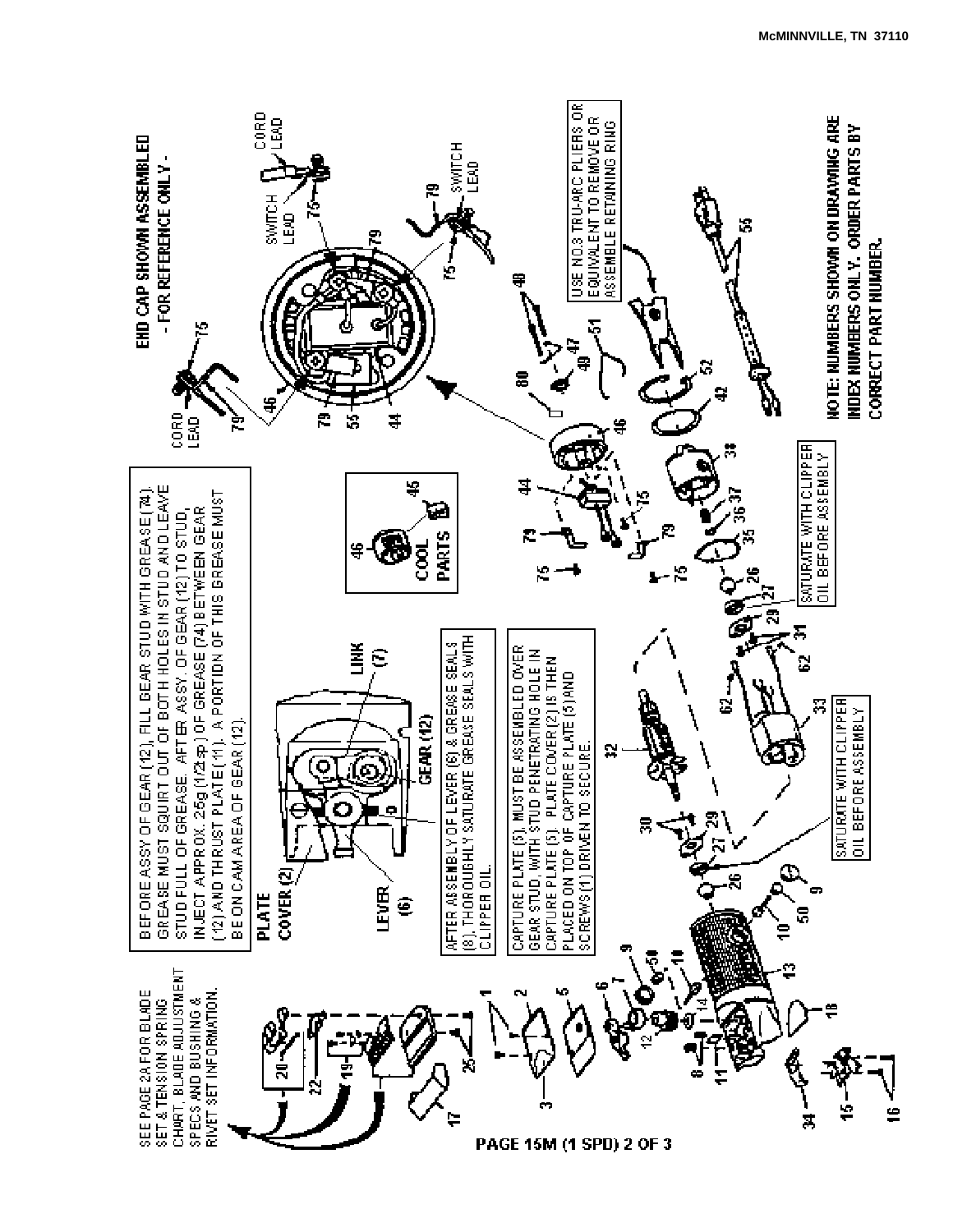